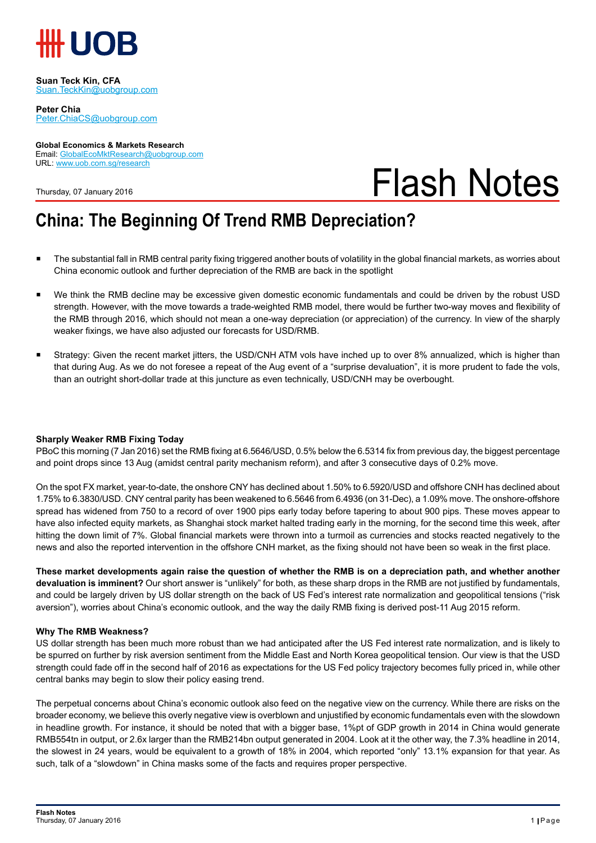

**Suan Teck Kin, CFA** Suan.TeckKin@uobgroup.com

**Peter Chia** Peter.ChiaCS@uobgroup.com

#### **Global Economics & Markets Research** Email: GlobalEcoMktResearch@uobgroup.com URL: www.uob.com.sg/research

Thursday, 07 January 2016

# Flash Notes

### **China: The Beginning Of Trend RMB Depreciation?**

- The substantial fall in RMB central parity fixing triggered another bouts of volatility in the global financial markets, as worries about China economic outlook and further depreciation of the RMB are back in the spotlight
- We think the RMB decline may be excessive given domestic economic fundamentals and could be driven by the robust USD strength. However, with the move towards a trade-weighted RMB model, there would be further two-way moves and flexibility of the RMB through 2016, which should not mean a one-way depreciation (or appreciation) of the currency. In view of the sharply weaker fixings, we have also adjusted our forecasts for USD/RMB.
- Strategy: Given the recent market jitters, the USD/CNH ATM vols have inched up to over 8% annualized, which is higher than that during Aug. As we do not foresee a repeat of the Aug event of a "surprise devaluation", it is more prudent to fade the vols, than an outright short-dollar trade at this juncture as even technically, USD/CNH may be overbought.

#### **Sharply Weaker RMB Fixing Today**

PBoC this morning (7 Jan 2016) set the RMB fixing at 6.5646/USD, 0.5% below the 6.5314 fix from previous day, the biggest percentage and point drops since 13 Aug (amidst central parity mechanism reform), and after 3 consecutive days of 0.2% move.

On the spot FX market, year-to-date, the onshore CNY has declined about 1.50% to 6.5920/USD and offshore CNH has declined about 1.75% to 6.3830/USD. CNY central parity has been weakened to 6.5646 from 6.4936 (on 31-Dec), a 1.09% move. The onshore-offshore spread has widened from 750 to a record of over 1900 pips early today before tapering to about 900 pips. These moves appear to have also infected equity markets, as Shanghai stock market halted trading early in the morning, for the second time this week, after hitting the down limit of 7%. Global financial markets were thrown into a turmoil as currencies and stocks reacted negatively to the news and also the reported intervention in the offshore CNH market, as the fixing should not have been so weak in the first place.

**These market developments again raise the question of whether the RMB is on a depreciation path, and whether another devaluation is imminent?** Our short answer is "unlikely" for both, as these sharp drops in the RMB are not justified by fundamentals, and could be largely driven by US dollar strength on the back of US Fed's interest rate normalization and geopolitical tensions ("risk aversion"), worries about China's economic outlook, and the way the daily RMB fixing is derived post-11 Aug 2015 reform.

#### **Why The RMB Weakness?**

US dollar strength has been much more robust than we had anticipated after the US Fed interest rate normalization, and is likely to be spurred on further by risk aversion sentiment from the Middle East and North Korea geopolitical tension. Our view is that the USD strength could fade off in the second half of 2016 as expectations for the US Fed policy trajectory becomes fully priced in, while other central banks may begin to slow their policy easing trend.

The perpetual concerns about China's economic outlook also feed on the negative view on the currency. While there are risks on the broader economy, we believe this overly negative view is overblown and unjustified by economic fundamentals even with the slowdown in headline growth. For instance, it should be noted that with a bigger base, 1%pt of GDP growth in 2014 in China would generate RMB554tn in output, or 2.6x larger than the RMB214bn output generated in 2004. Look at it the other way, the 7.3% headline in 2014, the slowest in 24 years, would be equivalent to a growth of 18% in 2004, which reported "only" 13.1% expansion for that year. As such, talk of a "slowdown" in China masks some of the facts and requires proper perspective.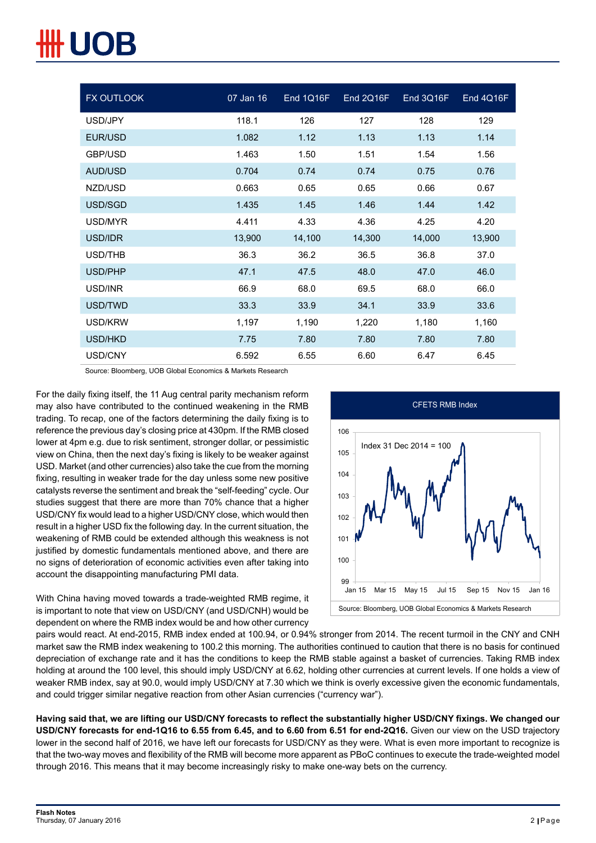| <b>FX OUTLOOK</b> | 07 Jan 16 | End 1Q16F | End 2Q16F | End 3Q16F | End 4Q16F |
|-------------------|-----------|-----------|-----------|-----------|-----------|
| USD/JPY           | 118.1     | 126       | 127       | 128       | 129       |
| EUR/USD           | 1.082     | 1.12      | 1.13      | 1.13      | 1.14      |
| GBP/USD           | 1.463     | 1.50      | 1.51      | 1.54      | 1.56      |
| AUD/USD           | 0.704     | 0.74      | 0.74      | 0.75      | 0.76      |
| NZD/USD           | 0.663     | 0.65      | 0.65      | 0.66      | 0.67      |
| USD/SGD           | 1.435     | 1.45      | 1.46      | 1.44      | 1.42      |
| USD/MYR           | 4.411     | 4.33      | 4.36      | 4.25      | 4.20      |
| USD/IDR           | 13,900    | 14,100    | 14,300    | 14,000    | 13,900    |
| USD/THB           | 36.3      | 36.2      | 36.5      | 36.8      | 37.0      |
| USD/PHP           | 47.1      | 47.5      | 48.0      | 47.0      | 46.0      |
| USD/INR           | 66.9      | 68.0      | 69.5      | 68.0      | 66.0      |
| USD/TWD           | 33.3      | 33.9      | 34.1      | 33.9      | 33.6      |
| USD/KRW           | 1,197     | 1,190     | 1,220     | 1,180     | 1,160     |
| USD/HKD           | 7.75      | 7.80      | 7.80      | 7.80      | 7.80      |
| USD/CNY           | 6.592     | 6.55      | 6.60      | 6.47      | 6.45      |

Source: Bloomberg, UOB Global Economics & Markets Research

For the daily fixing itself, the 11 Aug central parity mechanism reform may also have contributed to the continued weakening in the RMB trading. To recap, one of the factors determining the daily fixing is to reference the previous day's closing price at 430pm. If the RMB closed lower at 4pm e.g. due to risk sentiment, stronger dollar, or pessimistic view on China, then the next day's fixing is likely to be weaker against USD. Market (and other currencies) also take the cue from the morning fixing, resulting in weaker trade for the day unless some new positive catalysts reverse the sentiment and break the "self-feeding" cycle. Our studies suggest that there are more than 70% chance that a higher USD/CNY fix would lead to a higher USD/CNY close, which would then result in a higher USD fix the following day. In the current situation, the weakening of RMB could be extended although this weakness is not justified by domestic fundamentals mentioned above, and there are no signs of deterioration of economic activities even after taking into account the disappointing manufacturing PMI data.

With China having moved towards a trade-weighted RMB regime, it is important to note that view on USD/CNY (and USD/CNH) would be dependent on where the RMB index would be and how other currency



pairs would react. At end-2015, RMB index ended at 100.94, or 0.94% stronger from 2014. The recent turmoil in the CNY and CNH market saw the RMB index weakening to 100.2 this morning. The authorities continued to caution that there is no basis for continued depreciation of exchange rate and it has the conditions to keep the RMB stable against a basket of currencies. Taking RMB index holding at around the 100 level, this should imply USD/CNY at 6.62, holding other currencies at current levels. If one holds a view of weaker RMB index, say at 90.0, would imply USD/CNY at 7.30 which we think is overly excessive given the economic fundamentals, and could trigger similar negative reaction from other Asian currencies ("currency war").

**Having said that, we are lifting our USD/CNY forecasts to reflect the substantially higher USD/CNY fixings. We changed our USD/CNY forecasts for end-1Q16 to 6.55 from 6.45, and to 6.60 from 6.51 for end-2Q16.** Given our view on the USD trajectory lower in the second half of 2016, we have left our forecasts for USD/CNY as they were. What is even more important to recognize is that the two-way moves and flexibility of the RMB will become more apparent as PBoC continues to execute the trade-weighted model through 2016. This means that it may become increasingly risky to make one-way bets on the currency.